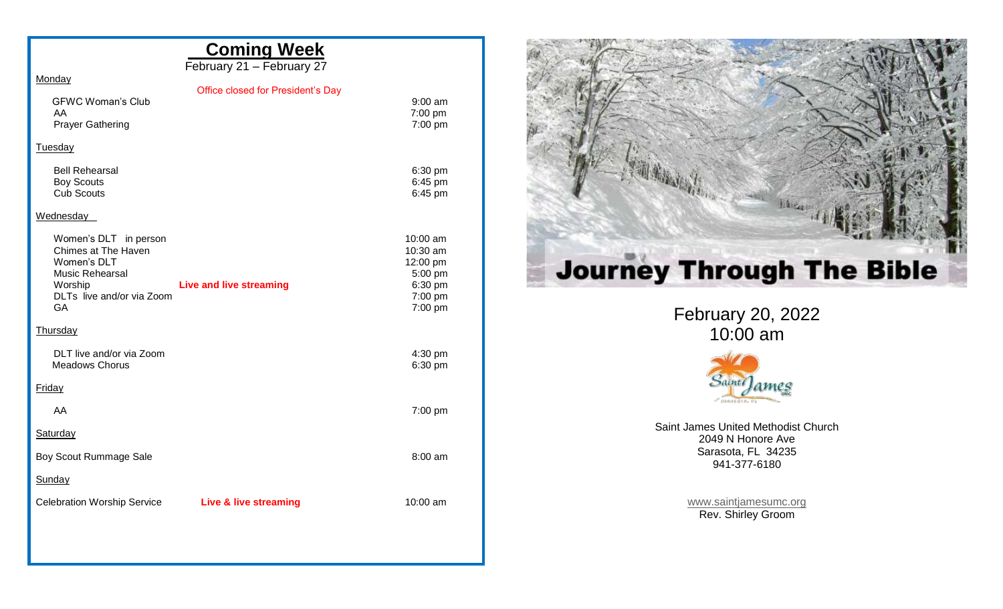|                                                                                                                              | <b>Coming Week</b><br>February 21 - February 27 |                                                                                |
|------------------------------------------------------------------------------------------------------------------------------|-------------------------------------------------|--------------------------------------------------------------------------------|
| Monday                                                                                                                       |                                                 |                                                                                |
| <b>GFWC Woman's Club</b><br>AA<br><b>Prayer Gathering</b>                                                                    | Office closed for President's Day               | $9:00$ am<br>7:00 pm<br>7:00 pm                                                |
| Tuesday                                                                                                                      |                                                 |                                                                                |
| <b>Bell Rehearsal</b><br><b>Boy Scouts</b><br><b>Cub Scouts</b>                                                              |                                                 | 6:30 pm<br>6:45 pm<br>6:45 pm                                                  |
| Wednesday                                                                                                                    |                                                 |                                                                                |
| Women's DLT in person<br>Chimes at The Haven<br>Women's DLT<br>Music Rehearsal<br>Worship<br>DLTs live and/or via Zoom<br>GA | <b>Live and live streaming</b>                  | $10:00$ am<br>10:30 am<br>12:00 pm<br>5:00 pm<br>6:30 pm<br>7:00 pm<br>7:00 pm |
| Thursday                                                                                                                     |                                                 |                                                                                |
| DLT live and/or via Zoom<br><b>Meadows Chorus</b>                                                                            |                                                 | 4:30 pm<br>6:30 pm                                                             |
| Friday                                                                                                                       |                                                 |                                                                                |
| AA                                                                                                                           |                                                 | 7:00 pm                                                                        |
| Saturday                                                                                                                     |                                                 |                                                                                |
| Boy Scout Rummage Sale                                                                                                       |                                                 | $8:00 \text{ am}$                                                              |
| Sunday                                                                                                                       |                                                 |                                                                                |
| <b>Celebration Worship Service</b>                                                                                           | <b>Live &amp; live streaming</b>                | $10:00$ am                                                                     |
|                                                                                                                              |                                                 |                                                                                |



February 20 , 202 2 10:00 am



Saint James United Methodist Church 2049 N Honore Ave Sarasota, FL 34235 941 -377 -6180

> [www.saintjamesumc.org](http://www.saintjamesumc.org/) Rev. Shirley Groom